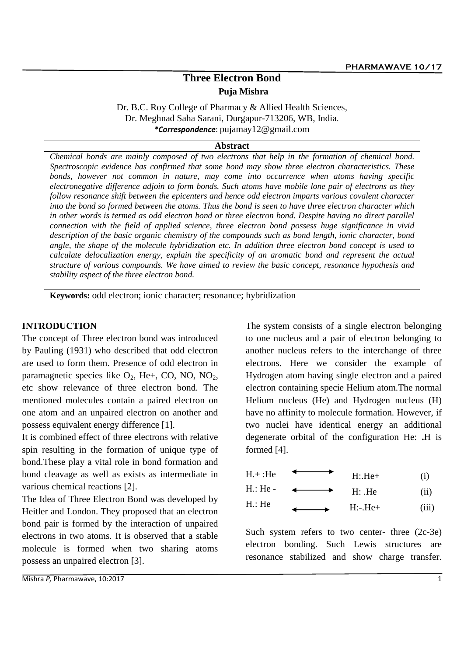# **Three Electron Bond Puja Mishra**

Dr. B.C. Roy College of Pharmacy & Allied Health Sciences, Dr. Meghnad Saha Sarani, Durgapur-713206, WB, India. *\*Correspondence*: pujamay12@gmail.com

#### **Abstract**

*Chemical bonds are mainly composed of two electrons that help in the formation of chemical bond. Spectroscopic evidence has confirmed that some bond may show three electron characteristics. These bonds, however not common in nature, may come into occurrence when atoms having specific electronegative difference adjoin to form bonds. Such atoms have mobile lone pair of electrons as they follow resonance shift between the epicenters and hence odd electron imparts various covalent character into the bond so formed between the atoms. Thus the bond is seen to have three electron character which in other words is termed as odd electron bond or three electron bond. Despite having no direct parallel connection with the field of applied science, three electron bond possess huge significance in vivid description of the basic organic chemistry of the compounds such as bond length, ionic character, bond angle, the shape of the molecule hybridization etc. In addition three electron bond concept is used to calculate delocalization energy, explain the specificity of an aromatic bond and represent the actual structure of various compounds. We have aimed to review the basic concept, resonance hypothesis and stability aspect of the three electron bond.* 

**Keywords:** odd electron; ionic character; resonance; hybridization

### **INTRODUCTION**

The concept of Three electron bond was introduced by Pauling (1931) who described that odd electron are used to form them. Presence of odd electron in paramagnetic species like  $O_2$ , He+, CO, NO, NO<sub>2</sub>, etc show relevance of three electron bond. The mentioned molecules contain a paired electron on one atom and an unpaired electron on another and possess equivalent energy difference [1].

It is combined effect of three electrons with relative spin resulting in the formation of unique type of bond.These play a vital role in bond formation and bond cleavage as well as exists as intermediate in various chemical reactions [2].

The Idea of Three Electron Bond was developed by Heitler and London. They proposed that an electron bond pair is formed by the interaction of unpaired electrons in two atoms. It is observed that a stable molecule is formed when two sharing atoms possess an unpaired electron [3].

The system consists of a single electron belonging to one nucleus and a pair of electron belonging to another nucleus refers to the interchange of three electrons. Here we consider the example of Hydrogen atom having single electron and a paired electron containing specie Helium atom.The normal Helium nucleus (He) and Hydrogen nucleus (H) have no affinity to molecule formation. However, if two nuclei have identical energy an additional degenerate orbital of the configuration He: **.**H is formed [4].

| H.: He - | $H:$ $He$ | (ii) |
|----------|-----------|------|
| TT. TT.  |           |      |

| н.: не   | $\cdots$ |
|----------|----------|
| $H:-He+$ | (111)    |

Such system refers to two center- three  $(2c-3e)$ electron bonding. Such Lewis structures are resonance stabilized and show charge transfer.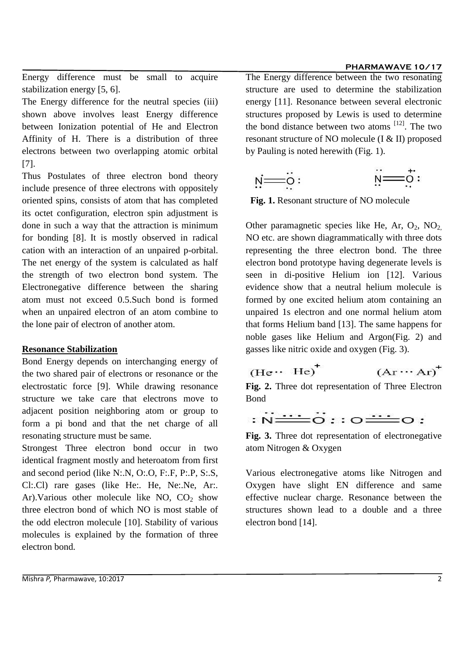#### **PHARMAWAVE 10/17**

Energy difference must be small to acquire stabilization energy [5, 6].

The Energy difference for the neutral species (iii) shown above involves least Energy difference between Ionization potential of He and Electron Affinity of H. There is a distribution of three electrons between two overlapping atomic orbital [7].

Thus Postulates of three electron bond theory include presence of three electrons with oppositely oriented spins, consists of atom that has completed its octet configuration, electron spin adjustment is done in such a way that the attraction is minimum for bonding [8]. It is mostly observed in radical cation with an interaction of an unpaired p-orbital. The net energy of the system is calculated as half the strength of two electron bond system. The Electronegative difference between the sharing atom must not exceed 0.5.Such bond is formed when an unpaired electron of an atom combine to the lone pair of electron of another atom.

#### **Resonance Stabilization**

Bond Energy depends on interchanging energy of the two shared pair of electrons or resonance or the electrostatic force [9]. While drawing resonance structure we take care that electrons move to adjacent position neighboring atom or group to form a pi bond and that the net charge of all resonating structure must be same.

Strongest Three electron bond occur in two identical fragment mostly and heteroatom from first and second period (like N:.N, O:.O, F:.F, P:.P, S:.S, Cl:.Cl) rare gases (like He:. He, Ne:.Ne, Ar:. Ar). Various other molecule like NO,  $CO<sub>2</sub>$  show three electron bond of which NO is most stable of the odd electron molecule [10]. Stability of various molecules is explained by the formation of three electron bond.

The Energy difference between the two resonating structure are used to determine the stabilization energy [11]. Resonance between several electronic structures proposed by Lewis is used to determine the bond distance between two atoms  $[12]$ . The two resonant structure of NO molecule (I & II) proposed by Pauling is noted herewith (Fig. 1).

$$
\vec{v} = \vec{0}:
$$

**Fig. 1.** Resonant structure of NO molecule

Other paramagnetic species like He, Ar,  $O_2$ , NO<sub>2</sub> NO etc. are shown diagrammatically with three dots representing the three electron bond. The three electron bond prototype having degenerate levels is seen in di-positive Helium ion [12]. Various evidence show that a neutral helium molecule is formed by one excited helium atom containing an unpaired 1s electron and one normal helium atom that forms Helium band [13]. The same happens for noble gases like Helium and Argon(Fig. 2) and gasses like nitric oxide and oxygen (Fig. 3).

$$
(\text{He} \cdots \text{He})^{\dagger} \qquad (\text{Ar} \cdots \text{Ar})^{\dagger}
$$

**Fig. 2.** Three dot representation of Three Electron Bond

**Fig. 3.** Three dot representation of electronegative atom Nitrogen & Oxygen

Various electronegative atoms like Nitrogen and Oxygen have slight EN difference and same effective nuclear charge. Resonance between the structures shown lead to a double and a three electron bond [14].